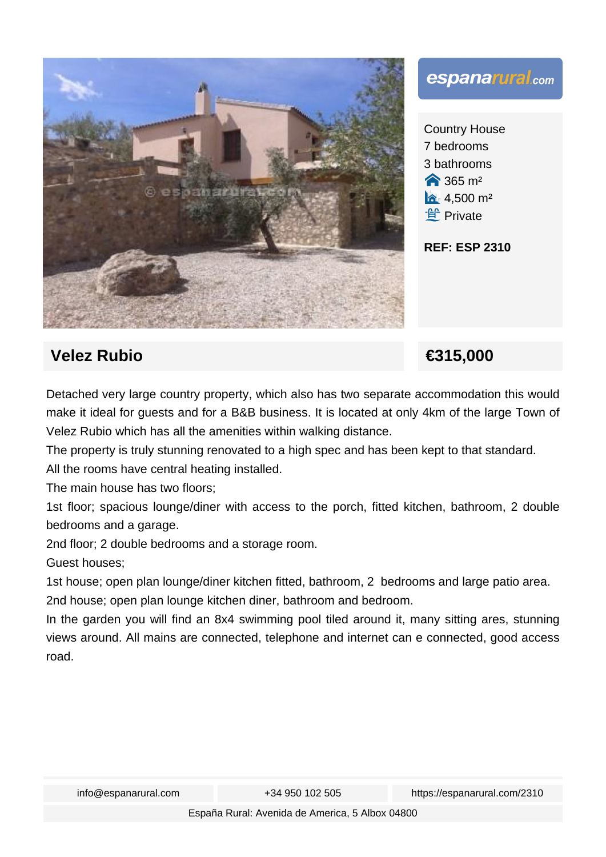



Country House 7 bedrooms 3 bathrooms **a** 365 m<sup>2</sup>  $4,500 \text{ m}^2$ **f** Private

## **REF: ESP 2310**

## **Velez Rubio €315,000**

Detached very large country property, which also has two separate accommodation this would make it ideal for guests and for a B&B business. It is located at only 4km of the large Town of Velez Rubio which has all the amenities within walking distance.

The property is truly stunning renovated to a high spec and has been kept to that standard. All the rooms have central heating installed.

The main house has two floors;

1st floor; spacious lounge/diner with access to the porch, fitted kitchen, bathroom, 2 double bedrooms and a garage.

2nd floor; 2 double bedrooms and a storage room.

Guest houses;

1st house; open plan lounge/diner kitchen fitted, bathroom, 2 bedrooms and large patio area. 2nd house; open plan lounge kitchen diner, bathroom and bedroom.

In the garden you will find an 8x4 swimming pool tiled around it, many sitting ares, stunning views around. All mains are connected, telephone and internet can e connected, good access road.